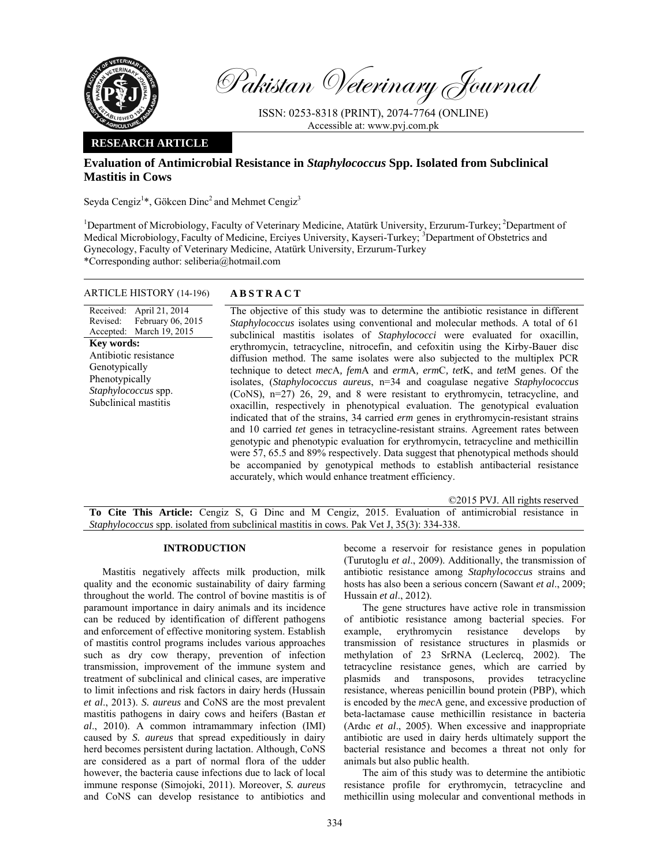

Pakistan Veterinary Journal

ISSN: 0253-8318 (PRINT), 2074-7764 (ONLINE) Accessible at: www.pvj.com.pk

## **RESEARCH ARTICLE**

# **Evaluation of Antimicrobial Resistance in** *Staphylococcus* **Spp. Isolated from Subclinical Mastitis in Cows**

Seyda Cengiz<sup>1</sup>\*, Gökcen Dinc<sup>2</sup> and Mehmet Cengiz<sup>3</sup>

<sup>1</sup>Department of Microbiology, Faculty of Veterinary Medicine, Atatürk University, Erzurum-Turkey; <sup>2</sup>Department of Medical Microbiology, Faculty of Medicine, Erciyes University, Kayseri-Turkey; <sup>3</sup>Department of Obstetrics and Gynecology, Faculty of Veterinary Medicine, Atatürk University, Erzurum-Turkey \*Corresponding author: seliberia@hotmail.com

### ARTICLE HISTORY (14-196) **ABSTRACT**

Received: April 21, 2014 Revised: Accepted: February 06, 2015 March 19, 2015 **Key words:**  Antibiotic resistance Genotypically Phenotypically *Staphylococcus* spp. Subclinical mastitis

 The objective of this study was to determine the antibiotic resistance in different *Staphylococcus* isolates using conventional and molecular methods. A total of 61 subclinical mastitis isolates of *Staphylococci* were evaluated for oxacillin, erythromycin, tetracycline, nitrocefin, and cefoxitin using the Kirby-Bauer disc diffusion method. The same isolates were also subjected to the multiplex PCR technique to detect *mec*A*, fem*A and *erm*A*, erm*C*, tet*K, and *tet*M genes. Of the isolates, (*Staphylococcus aureus*, n=34 and coagulase negative *Staphylococcus* (CoNS), n=27) 26, 29, and 8 were resistant to erythromycin, tetracycline, and oxacillin, respectively in phenotypical evaluation. The genotypical evaluation indicated that of the strains, 34 carried *erm* genes in erythromycin-resistant strains and 10 carried *tet* genes in tetracycline-resistant strains. Agreement rates between genotypic and phenotypic evaluation for erythromycin, tetracycline and methicillin were 57, 65.5 and 89% respectively. Data suggest that phenotypical methods should be accompanied by genotypical methods to establish antibacterial resistance accurately, which would enhance treatment efficiency.

©2015 PVJ. All rights reserved

**To Cite This Article:** Cengiz S, G Dinc and M Cengiz, 2015. Evaluation of antimicrobial resistance in *Staphylococcus* spp. isolated from subclinical mastitis in cows. Pak Vet J, 35(3): 334-338.

#### **INTRODUCTION**

Mastitis negatively affects milk production, milk quality and the economic sustainability of dairy farming throughout the world. The control of bovine mastitis is of paramount importance in dairy animals and its incidence can be reduced by identification of different pathogens and enforcement of effective monitoring system. Establish of mastitis control programs includes various approaches such as dry cow therapy, prevention of infection transmission, improvement of the immune system and treatment of subclinical and clinical cases, are imperative to limit infections and risk factors in dairy herds (Hussain *et al*., 2013). *S. aureus* and CoNS are the most prevalent mastitis pathogens in dairy cows and heifers (Bastan *et al*., 2010). A common intramammary infection (IMI) caused by *S. aureus* that spread expeditiously in dairy herd becomes persistent during lactation. Although, CoNS are considered as a part of normal flora of the udder however, the bacteria cause infections due to lack of local immune response (Simojoki, 2011). Moreover, *S. aureus* and CoNS can develop resistance to antibiotics and

become a reservoir for resistance genes in population (Turutoglu *et al*., 2009). Additionally, the transmission of antibiotic resistance among *Staphylococcus* strains and hosts has also been a serious concern (Sawant *et al*., 2009; Hussain *et al*., 2012).

The gene structures have active role in transmission of antibiotic resistance among bacterial species. For example, erythromycin resistance develops by transmission of resistance structures in plasmids or methylation of 23 SrRNA (Leclercq, 2002). The tetracycline resistance genes, which are carried by plasmids and transposons, provides tetracycline resistance, whereas penicillin bound protein (PBP), which is encoded by the *mec*A gene, and excessive production of beta-lactamase cause methicillin resistance in bacteria (Ardıc *et al*., 2005). When excessive and inappropriate antibiotic are used in dairy herds ultimately support the bacterial resistance and becomes a threat not only for animals but also public health.

The aim of this study was to determine the antibiotic resistance profile for erythromycin, tetracycline and methicillin using molecular and conventional methods in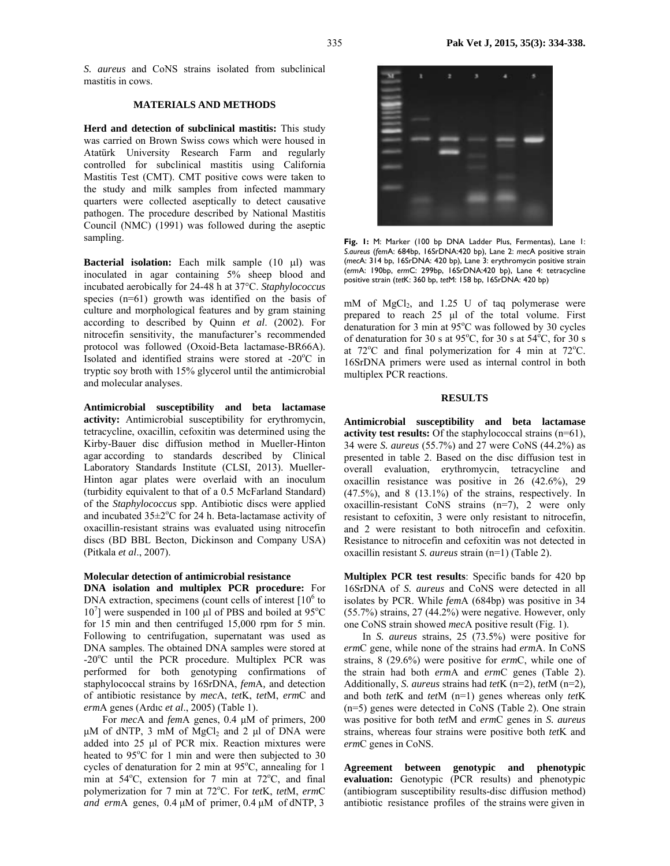*S. aureus* and CoNS strains isolated from subclinical mastitis in cows.

#### **MATERIALS AND METHODS**

**Herd and detection of subclinical mastitis:** This study was carried on Brown Swiss cows which were housed in Atatürk University Research Farm and regularly controlled for subclinical mastitis using California Mastitis Test (CMT). CMT positive cows were taken to the study and milk samples from infected mammary quarters were collected aseptically to detect causative pathogen. The procedure described by National Mastitis Council (NMC) (1991) was followed during the aseptic sampling.

**Bacterial isolation:** Each milk sample (10 µl) was inoculated in agar containing 5% sheep blood and incubated aerobically for 24-48 h at 37°C. *Staphylococcus* species (n=61) growth was identified on the basis of culture and morphological features and by gram staining according to described by Quinn *et al*. (2002). For nitrocefin sensitivity, the manufacturer's recommended protocol was followed (Oxoid-Beta lactamase-BR66A). Isolated and identified strains were stored at -20°C in tryptic soy broth with 15% glycerol until the antimicrobial and molecular analyses.

**Antimicrobial susceptibility and beta lactamase activity:** Antimicrobial susceptibility for erythromycin, tetracycline, oxacillin, cefoxitin was determined using the Kirby-Bauer disc diffusion method in Mueller-Hinton agar according to standards described by Clinical Laboratory Standards Institute (CLSI, 2013). Mueller-Hinton agar plates were overlaid with an inoculum (turbidity equivalent to that of a 0.5 McFarland Standard) of the *Staphylococcus* spp. Antibiotic discs were applied and incubated  $35\pm2\degree$ C for 24 h. Beta-lactamase activity of oxacillin-resistant strains was evaluated using nitrocefin discs (BD BBL Becton, Dickinson and Company USA) (Pitkala *et al*., 2007).

## **Molecular detection of antimicrobial resistance**

**DNA isolation and multiplex PCR procedure:** For DNA extraction, specimens (count cells of interest  $[10^6$  to  $10^7$ ] were suspended in 100 µl of PBS and boiled at 95°C for 15 min and then centrifuged 15,000 rpm for 5 min. Following to centrifugation, supernatant was used as DNA samples. The obtained DNA samples were stored at -20°C until the PCR procedure. Multiplex PCR was performed for both genotyping confirmations of staphylococcal strains by 16SrDNA, *fem*A*,* and detection of antibiotic resistance by *mec*A, *tet*K, *tet*M, *erm*C and *erm*A genes (Ardıc *et al*., 2005) (Table 1).

For *mec*A and *fem*A genes, 0.4 µM of primers, 200  $\mu$ M of dNTP, 3 mM of MgCl<sub>2</sub> and 2  $\mu$ l of DNA were added into 25 µl of PCR mix. Reaction mixtures were heated to 95°C for 1 min and were then subjected to 30 cycles of denaturation for 2 min at  $95^{\circ}$ C, annealing for 1 min at 54°C, extension for 7 min at 72°C, and final polymerization for 7 min at 72°C. For tetK, tetM, ermC *and erm*A genes, 0.4 µM of primer, 0.4 µM of dNTP, 3



**Fig. 1:** M: Marker (100 bp DNA Ladder Plus, Fermentas), Lane 1: *S.aureus* (*fem*A: 684bp, 16SrDNA:420 bp), Lane 2: *mec*A positive strain (*mec*A: 314 bp, 16SrDNA: 420 bp), Lane 3: erythromycin positive strain (*erm*A: 190bp, *erm*C: 299bp, 16SrDNA:420 bp), Lane 4: tetracycline positive strain (*tet*K: 360 bp, *tet*M: 158 bp, 16SrDNA: 420 bp)

mM of  $MgCl<sub>2</sub>$ , and 1.25 U of taq polymerase were prepared to reach 25 µl of the total volume. First denaturation for 3 min at  $95^{\circ}$ C was followed by 30 cycles of denaturation for 30 s at 95 $^{\circ}$ C, for 30 s at 54 $^{\circ}$ C, for 30 s at  $72^{\circ}$ C and final polymerization for 4 min at  $72^{\circ}$ C. 16SrDNA primers were used as internal control in both multiplex PCR reactions.

#### **RESULTS**

**Antimicrobial susceptibility and beta lactamase activity test results:** Of the staphylococcal strains (n=61), 34 were *S. aureus* (55.7%) and 27 were CoNS (44.2%) as presented in table 2. Based on the disc diffusion test in overall evaluation, erythromycin, tetracycline and oxacillin resistance was positive in 26 (42.6%), 29  $(47.5\%)$ , and  $8(13.1\%)$  of the strains, respectively. In oxacillin-resistant CoNS strains (n=7), 2 were only resistant to cefoxitin, 3 were only resistant to nitrocefin, and 2 were resistant to both nitrocefin and cefoxitin. Resistance to nitrocefin and cefoxitin was not detected in oxacillin resistant *S. aureus* strain (n=1) (Table 2).

**Multiplex PCR test results**: Specific bands for 420 bp 16SrDNA of *S. aureus* and CoNS were detected in all isolates by PCR. While *fem*A (684bp) was positive in 34 (55.7%) strains, 27 (44.2%) were negative. However, only one CoNS strain showed *mec*A positive result (Fig. 1).

In *S. aureus* strains, 25 (73.5%) were positive for *erm*C gene, while none of the strains had *erm*A. In CoNS strains, 8 (29.6%) were positive for *erm*C, while one of the strain had both *erm*A and *erm*C genes (Table 2). Additionally, *S. aureus* strains had *tet*K (n=2), *tet*M (n=2)*,*  and both *tet*K and *tet*M (n=1) genes whereas only *tet*K (n=5) genes were detected in CoNS (Table 2). One strain was positive for both *tet*M and *erm*C genes in *S. aureus* strains, whereas four strains were positive both *tet*K and *erm*C genes in CoNS.

**Agreement between genotypic and phenotypic evaluation:** Genotypic (PCR results) and phenotypic (antibiogram susceptibility results-disc diffusion method) antibiotic resistance profiles of the strains were given in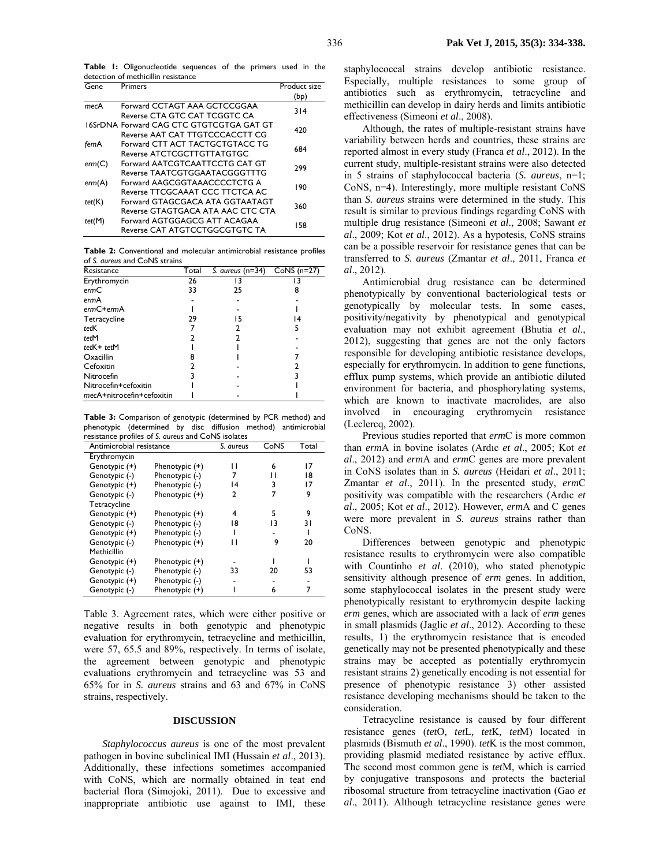**Table 1:** Oligonucleotide sequences of the primers used in the detection of methicillin resistance

| Gene   | Primers                                  | Product size<br>(bp) |  |
|--------|------------------------------------------|----------------------|--|
| mecA   | Forward CCTAGT AAA GCTCCGGAA             | 314                  |  |
|        | Reverse CTA GTC CAT TCGGTC CA            |                      |  |
|        | 16SrDNA Forward CAG CTC GTGTCGTGA GAT GT | 420                  |  |
|        | Reverse AAT CAT TTGTCCCACCTT CG          |                      |  |
| femA   | Forward CTT ACT TACTGCTGTACC TG          | 684                  |  |
|        | Reverse ATCTCGCTTGTTATGTGC               |                      |  |
| erm(C) | Forward AATCGTCAATTCCTG CAT GT           | 299                  |  |
|        | Reverse TAATCGTGGAATACGGGTTTG            |                      |  |
| erm(A) | Forward AAGCGGTAAACCCCTCTG A             | 190                  |  |
|        | Reverse TTCGCAAAT CCC TTCTCA AC          |                      |  |
| tet(K) | Forward GTAGCGACA ATA GGTAATAGT          | 360                  |  |
|        | Reverse GTAGTGACA ATA AAC CTC CTA        |                      |  |
| tet(M) | Forward AGTGGAGCG ATT ACAGAA             |                      |  |
|        | Reverse CAT ATGTCCTGGCGTGTC TA           | 158                  |  |

**Table 2:** Conventional and molecular antimicrobial resistance profiles of *S. aureus* and CoNS strains

| Resistance                | Total | S. aureus $(n=34)$ | $CoNS(n=27)$ |
|---------------------------|-------|--------------------|--------------|
| Erythromycin              | 26    |                    |              |
| ermC                      | 33    | 25                 | 8            |
| ermA                      |       |                    |              |
| $ermC+ermA$               |       |                    |              |
| Tetracycline              | 29    | 15                 | 14           |
| tetK                      |       |                    |              |
| tetM                      |       |                    |              |
| $tetK + tetM$             |       |                    |              |
| Oxacillin                 |       |                    |              |
| Cefoxitin                 |       |                    |              |
| Nitrocefin                |       |                    |              |
| Nitrocefin+cefoxitin      |       |                    |              |
| mecA+nitrocefin+cefoxitin |       |                    |              |

**Table 3:** Comparison of genotypic (determined by PCR method) and phenotypic (determined by disc diffusion method) antimicrobial resistance profiles of *S. aureus* and CoNS isolates

| Antimicrobial resistance | S. aureus      | CoNS | Total |    |
|--------------------------|----------------|------|-------|----|
| Erythromycin             |                |      |       |    |
| Genotypic (+)            | Phenotypic (+) | П    | 6     | 17 |
| Genotypic (-)            | Phenotypic (-) | 7    | П     | 18 |
| Genotypic (+)            | Phenotypic (-) | 14   | 3     | 17 |
| Genotypic (-)            | Phenotypic (+) | 2    | 7     | 9  |
| Tetracycline             |                |      |       |    |
| Genotypic (+)            | Phenotypic (+) | 4    | 5     | 9  |
| Genotypic (-)            | Phenotypic (-) | 18   | 13    | 31 |
| Genotypic (+)            | Phenotypic (-) |      |       |    |
| Genotypic (-)            | Phenotypic (+) | ı ı  | 9     | 20 |
| Methicillin              |                |      |       |    |
| Genotypic (+)            | Phenotypic (+) |      |       |    |
| Genotypic (-)            | Phenotypic (-) | 33   | 20    | 53 |
| Genotypic (+)            | Phenotypic (-) |      |       |    |
| Genotypic (-)            | Phenotypic (+) |      | 6     |    |
|                          |                |      |       |    |

Table 3. Agreement rates, which were either positive or negative results in both genotypic and phenotypic evaluation for erythromycin, tetracycline and methicillin, were 57, 65.5 and 89%, respectively. In terms of isolate, the agreement between genotypic and phenotypic evaluations erythromycin and tetracycline was 53 and 65% for in *S. aureus* strains and 63 and 67% in CoNS strains, respectively.

#### **DISCUSSION**

*Staphylococcus aureus* is one of the most prevalent pathogen in bovine subclinical IMI (Hussain *et al*., 2013). Additionally, these infections sometimes accompanied with CoNS, which are normally obtained in teat end bacterial flora (Simojoki, 2011). Due to excessive and inappropriate antibiotic use against to IMI, these

staphylococcal strains develop antibiotic resistance. Especially, multiple resistances to some group of antibiotics such as erythromycin, tetracycline and methicillin can develop in dairy herds and limits antibiotic effectiveness (Simeoni *et al*., 2008).

Although, the rates of multiple-resistant strains have variability between herds and countries, these strains are reported almost in every study (Franca *et al*., 2012). In the current study, multiple-resistant strains were also detected in 5 strains of staphylococcal bacteria (*S. aureus*, n=1; CoNS, n=4). Interestingly, more multiple resistant CoNS than *S. aureus* strains were determined in the study. This result is similar to previous findings regarding CoNS with multiple drug resistance (Simeoni *et al*., 2008; Sawant *et al*., 2009; Kot *et al*., 2012). As a hypotesis, CoNS strains can be a possible reservoir for resistance genes that can be transferred to *S. aureus* (Zmantar *et al*., 2011, Franca *et al*., 2012).

Antimicrobial drug resistance can be determined phenotypically by conventional bacteriological tests or genotypically by molecular tests. In some cases, positivity/negativity by phenotypical and genotypical evaluation may not exhibit agreement (Bhutia *et al*., 2012), suggesting that genes are not the only factors responsible for developing antibiotic resistance develops, especially for erythromycin. In addition to gene functions, efflux pump systems, which provide an antibiotic diluted environment for bacteria, and phosphorylating systems, which are known to inactivate macrolides, are also involved in encouraging erythromycin resistance (Leclercq, 2002).

Previous studies reported that *erm*C is more common than *erm*A in bovine isolates (Ardıc *et al*., 2005; Kot *et al*., 2012) and *erm*A and *erm*C genes are more prevalent in CoNS isolates than in *S. aureus* (Heidari *et al*., 2011; Zmantar *et al*., 2011). In the presented study, *erm*C positivity was compatible with the researchers (Ardıc *et al*., 2005; Kot *et al*., 2012). However, *erm*A and C genes were more prevalent in *S. aureus* strains rather than CoNS.

Differences between genotypic and phenotypic resistance results to erythromycin were also compatible with Countinho *et al*. (2010), who stated phenotypic sensitivity although presence of *erm* genes. In addition, some staphylococcal isolates in the present study were phenotypically resistant to erythromycin despite lacking *erm* genes, which are associated with a lack of *erm* genes in small plasmids (Jaglic *et al*., 2012). According to these results, 1) the erythromycin resistance that is encoded genetically may not be presented phenotypically and these strains may be accepted as potentially erythromycin resistant strains 2) genetically encoding is not essential for presence of phenotypic resistance 3) other assisted resistance developing mechanisms should be taken to the consideration.

Tetracycline resistance is caused by four different resistance genes (*tet*O*, tet*L*, tet*K*, tet*M) located in plasmids (Bismuth *et al*., 1990). *tet*K is the most common, providing plasmid mediated resistance by active efflux. The second most common gene is *tet*M, which is carried by conjugative transposons and protects the bacterial ribosomal structure from tetracycline inactivation (Gao *et al*., 2011). Although tetracycline resistance genes were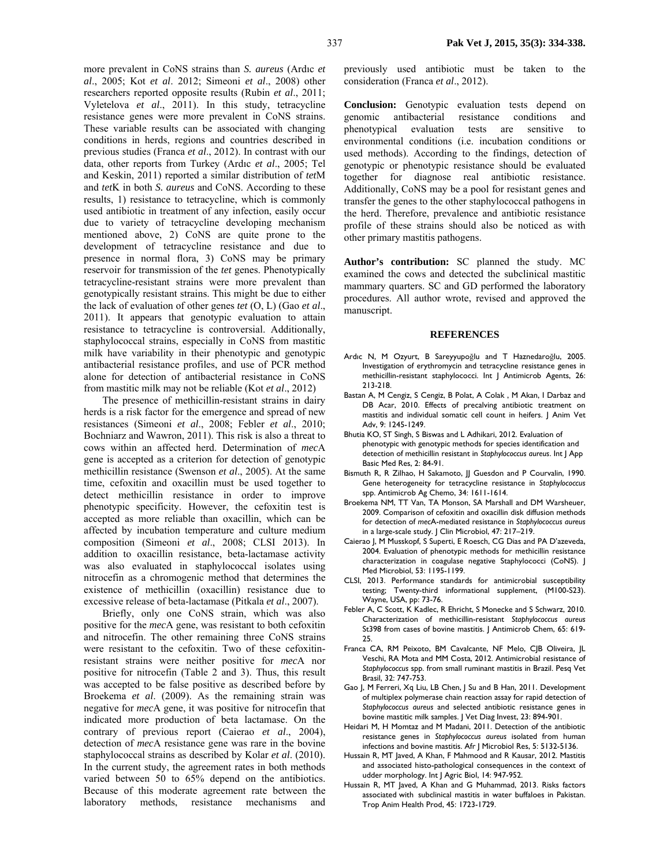more prevalent in CoNS strains than *S. aureus* (Ardıc *et al*., 2005; Kot *et al*. 2012; Simeoni *et al*., 2008) other researchers reported opposite results (Rubin *et al*., 2011; Vyletelova *et al*., 2011). In this study, tetracycline resistance genes were more prevalent in CoNS strains. These variable results can be associated with changing conditions in herds, regions and countries described in previous studies (Franca *et al*., 2012). In contrast with our data, other reports from Turkey (Ardıc *et al*., 2005; Tel and Keskin, 2011) reported a similar distribution of *tet*M and *tet*K in both *S. aureus* and CoNS. According to these results, 1) resistance to tetracycline, which is commonly used antibiotic in treatment of any infection, easily occur due to variety of tetracycline developing mechanism mentioned above, 2) CoNS are quite prone to the development of tetracycline resistance and due to presence in normal flora, 3) CoNS may be primary reservoir for transmission of the *tet* genes. Phenotypically tetracycline-resistant strains were more prevalent than genotypically resistant strains. This might be due to either the lack of evaluation of other genes *tet* (O, L) (Gao *et al*., 2011). It appears that genotypic evaluation to attain resistance to tetracycline is controversial. Additionally, staphylococcal strains, especially in CoNS from mastitic milk have variability in their phenotypic and genotypic antibacterial resistance profiles, and use of PCR method alone for detection of antibacterial resistance in CoNS from mastitic milk may not be reliable (Kot *et al*., 2012)

The presence of methicillin-resistant strains in dairy herds is a risk factor for the emergence and spread of new resistances (Simeoni *et al*., 2008; Febler *et al*., 2010; Bochniarz and Wawron, 2011). This risk is also a threat to cows within an affected herd. Determination of *mec*A gene is accepted as a criterion for detection of genotypic methicillin resistance (Swenson *et al*., 2005). At the same time, cefoxitin and oxacillin must be used together to detect methicillin resistance in order to improve phenotypic specificity. However, the cefoxitin test is accepted as more reliable than oxacillin, which can be affected by incubation temperature and culture medium composition (Simeoni *et al*., 2008; CLSI 2013). In addition to oxacillin resistance, beta-lactamase activity was also evaluated in staphylococcal isolates using nitrocefin as a chromogenic method that determines the existence of methicillin (oxacillin) resistance due to excessive release of beta-lactamase (Pitkala *et al*., 2007).

Briefly, only one CoNS strain, which was also positive for the *mec*A gene, was resistant to both cefoxitin and nitrocefin. The other remaining three CoNS strains were resistant to the cefoxitin. Two of these cefoxitinresistant strains were neither positive for *mec*A nor positive for nitrocefin (Table 2 and 3). Thus, this result was accepted to be false positive as described before by Broekema *et al*. (2009). As the remaining strain was negative for *mec*A gene, it was positive for nitrocefin that indicated more production of beta lactamase. On the contrary of previous report (Caierao *et al*., 2004), detection of *mec*A resistance gene was rare in the bovine staphylococcal strains as described by Kolar *et al*. (2010). In the current study, the agreement rates in both methods varied between 50 to 65% depend on the antibiotics. Because of this moderate agreement rate between the laboratory methods, resistance mechanisms and

previously used antibiotic must be taken to the consideration (Franca *et al*., 2012).

**Conclusion:** Genotypic evaluation tests depend on genomic antibacterial resistance conditions and phenotypical evaluation tests are sensitive to environmental conditions (i.e. incubation conditions or used methods). According to the findings, detection of genotypic or phenotypic resistance should be evaluated together for diagnose real antibiotic resistance. Additionally, CoNS may be a pool for resistant genes and transfer the genes to the other staphylococcal pathogens in the herd. Therefore, prevalence and antibiotic resistance profile of these strains should also be noticed as with other primary mastitis pathogens.

**Author's contribution:** SC planned the study. MC examined the cows and detected the subclinical mastitic mammary quarters. SC and GD performed the laboratory procedures. All author wrote, revised and approved the manuscript.

#### **REFERENCES**

- Ardıc N, M Ozyurt, B Sareyyupoğlu and T Haznedaroğlu, 2005. Investigation of erythromycin and tetracycline resistance genes in methicillin-resistant staphylococci. Int J Antimicrob Agents, 26: 213-218.
- Bastan A, M Cengiz, S Cengiz, B Polat, A Colak , M Akan, I Darbaz and DB Acar, 2010. Effects of precalving antibiotic treatment on mastitis and individual somatic cell count in heifers. J Anim Vet Adv, 9: 1245-1249.
- Bhutia KO, ST Singh, S Biswas and L Adhikari, 2012. Evaluation of phenotypic with genotypic methods for species identification and detection of methicillin resistant in *Staphylococcus aureus*. Int J App Basic Med Res, 2: 84-91.
- Bismuth R, R Zilhao, H Sakamoto, JJ Guesdon and P Courvalin, 1990. Gene heterogeneity for tetracycline resistance in *Staphylococcus* spp. Antimicrob Ag Chemo, 34: 1611-1614.
- Broekema NM, TT Van, TA Monson, SA Marshall and DM Warsheuer, 2009. Comparison of cefoxitin and oxacillin disk diffusion methods for detection of *mec*A-mediated resistance in *Staphylococcus aureus* in a large-scale study. | Clin Microbiol, 47: 217-219.
- Caierao J, M Musskopf, S Superti, E Roesch, CG Dias and PA D'azeveda, 2004. Evaluation of phenotypic methods for methicillin resistance characterization in coagulase negative Staphylococci (CoNS). J Med Microbiol, 53: 1195-1199.
- CLSI, 2013. Performance standards for antimicrobial susceptibility testing; Twenty-third informational supplement, (M100-S23). Wayne, USA, pp: 73-76.
- Febler A, C Scott, K Kadlec, R Ehricht, S Monecke and S Schwarz, 2010. Characterization of methicillin-resistant *Staphylococcus aureus* St398 from cases of bovine mastitis. J Antimicrob Chem, 65: 619- 25.
- Franca CA, RM Peixoto, BM Cavalcante, NF Melo, CJB Oliveira, JL Veschi, RA Mota and MM Costa, 2012. Antimicrobial resistance of *Staphylococcus* spp. from small ruminant mastitis in Brazil. Pesq Vet Brasil, 32: 747-753.
- Gao J, M Ferreri, Xq Liu, LB Chen, J Su and B Han, 2011. Development of multiplex polymerase chain reaction assay for rapid detection of *Staphylococcus aureus* and selected antibiotic resistance genes in bovine mastitic milk samples. J Vet Diag Invest, 23: 894-901.
- Heidari M, H Momtaz and M Madani, 2011. Detection of the antibiotic resistance genes in *Staphylococcus aureus* isolated from human infections and bovine mastitis. Afr J Microbiol Res, 5: 5132-5136.
- Hussain R, MT Javed, A Khan, F Mahmood and R Kausar, 2012. Mastitis and associated histo-pathological consequences in the context of udder morphology. Int J Agric Biol, 14: 947-952.
- Hussain R, MT Javed, A Khan and G Muhammad, 2013. Risks factors associated with subclinical mastitis in water buffaloes in Pakistan. Trop Anim Health Prod, 45: 1723-1729.